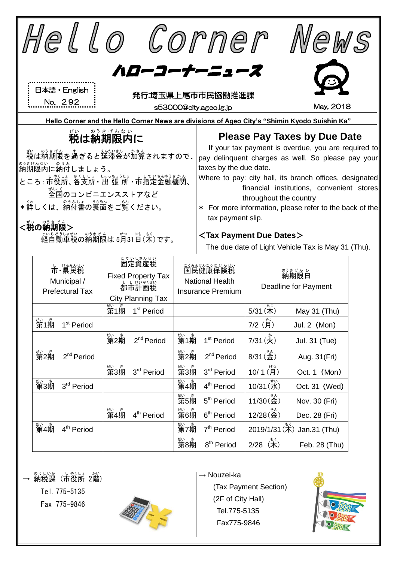|                                                                                                                |                                              |                        |                                      |                   |                                 |                                                                                   | Hello Corner                                                                               |                                            | Wews                         |  |  |
|----------------------------------------------------------------------------------------------------------------|----------------------------------------------|------------------------|--------------------------------------|-------------------|---------------------------------|-----------------------------------------------------------------------------------|--------------------------------------------------------------------------------------------|--------------------------------------------|------------------------------|--|--|
|                                                                                                                |                                              |                        |                                      |                   |                                 |                                                                                   |                                                                                            |                                            |                              |  |  |
|                                                                                                                | ハローコーナーニュース                                  |                        |                                      |                   |                                 |                                                                                   |                                                                                            |                                            |                              |  |  |
|                                                                                                                | 日本語 · English<br>発行:埼玉県上尾市市民協働推進課<br>No. 292 |                        |                                      |                   |                                 |                                                                                   |                                                                                            |                                            |                              |  |  |
|                                                                                                                |                                              |                        |                                      |                   |                                 | May, 2018<br>s53000@city.ageo.lg.jp                                               |                                                                                            |                                            |                              |  |  |
| Hello Corner and the Hello Corner News are divisions of Ageo City's "Shimin Kyodo Suishin Ka"<br>のうきげんない<br>ぜい |                                              |                        |                                      |                   |                                 |                                                                                   |                                                                                            |                                            |                              |  |  |
|                                                                                                                | 税は納期限内に                                      |                        |                                      |                   |                                 |                                                                                   | <b>Please Pay Taxes by Due Date</b><br>If your tax payment is overdue, you are required to |                                            |                              |  |  |
|                                                                                                                |                                              |                        |                                      |                   | <u>栽</u> は納期限を過ぎると筵滞金が加算されますので、 | pay delinquent charges as well. So please pay your                                |                                                                                            |                                            |                              |  |  |
|                                                                                                                | 。 <sub>。まげんない</sub> 。。。。<br>納期限内に納付しましょう。    |                        |                                      |                   |                                 | taxes by the due date.<br>Where to pay: city hall, its branch offices, designated |                                                                                            |                                            |                              |  |  |
|                                                                                                                | ぜんこく<br>全国のコンビニエンスストアなど                      |                        |                                      |                   |                                 |                                                                                   | financial institutions, convenient stores                                                  |                                            |                              |  |  |
|                                                                                                                |                                              |                        |                                      |                   |                                 | throughout the country<br>* For more information, please refer to the back of the |                                                                                            |                                            |                              |  |  |
|                                                                                                                | *詳しくは、納付書の裏面をご覧ください。<br>tax payment slip.    |                        |                                      |                   |                                 |                                                                                   |                                                                                            |                                            |                              |  |  |
| <税の納期限><br>けいじょうしゃぜい のうまげん がつ にち もく<br>軽自動車税の納期限は 5月31日(木)です。                                                  |                                              |                        |                                      |                   |                                 |                                                                                   |                                                                                            | <tax dates="" due="" payment=""></tax>     |                              |  |  |
|                                                                                                                |                                              |                        |                                      |                   |                                 |                                                                                   | The due date of Light Vehicle Tax is May 31 (Thu).                                         |                                            |                              |  |  |
|                                                                                                                | こていしさんぜい<br>固定資産税<br>市·県民税                   |                        |                                      |                   |                                 | ミネルかにうほけんぜい                                                                       |                                                                                            |                                            |                              |  |  |
|                                                                                                                | Municipal /                                  |                        | <b>Fixed Property Tax</b><br>者ははかくぜい |                   |                                 | <b>National Health</b>                                                            | 。ぅきげん ひ<br>納期限日<br><b>Deadline for Payment</b>                                             |                                            |                              |  |  |
|                                                                                                                | <b>Prefectural Tax</b>                       |                        | City Planning Tax                    |                   | <b>Insurance Premium</b>        |                                                                                   |                                                                                            |                                            |                              |  |  |
|                                                                                                                |                                              |                        |                                      |                   | 第1期 1 <sup>st</sup> Period      |                                                                                   |                                                                                            | もく<br>5/31(木)                              | May $31$ (Thu)               |  |  |
|                                                                                                                | <u>▓</u><br>第1期                              | 1 <sup>st</sup> Period |                                      |                   |                                 |                                                                                   |                                                                                            | $7/2$ $\stackrel{(f^{\circ}\circ)}{(\pi)}$ | Jul. 2 (Mon)                 |  |  |
|                                                                                                                |                                              |                        |                                      | 。。。<br><b>第2期</b> | 2 <sup>nd</sup> Period          | 热<br>第1期                                                                          | 1 <sup>st</sup> Period                                                                     | 7/31 (火)                                   | Jul. 31 (Tue)                |  |  |
|                                                                                                                | 热<br>第2期                                     | 2 <sup>nd</sup> Period |                                      |                   |                                 | 。。<br>第2期                                                                         | 2 <sup>nd</sup> Period                                                                     | $8/31(\frac{2}{32})$                       | Aug. 31(Fri)                 |  |  |
|                                                                                                                |                                              |                        |                                      | 称<br>第3期          | 3rd Period                      | 趣<br>第3期                                                                          | 3rd Period                                                                                 | $10/1$ (月)                                 | Oct. 1 (Mon)                 |  |  |
|                                                                                                                | 热<br>第3期                                     | 3rd Period             |                                      |                   |                                 | <u>ないます</u><br>第4期                                                                | 4 <sup>th</sup> Period                                                                     | 10/31(水)                                   | Oct. 31 (Wed)                |  |  |
|                                                                                                                |                                              |                        |                                      |                   |                                 | <sub>たいま</sub><br>第5期                                                             | 5 <sup>th</sup> Period                                                                     | $11/30(\frac{2}{3})$                       | Nov. 30 (Fri)                |  |  |
|                                                                                                                |                                              |                        |                                      | 。。。<br>第4期        | 4 <sup>th</sup> Period          | <del>tive</del><br>第6期                                                            | 6 <sup>th</sup> Period                                                                     | $12/28$ $($ 金)                             | Dec. 28 (Fri)                |  |  |
|                                                                                                                | tive き<br>第4期                                | 4 <sup>th</sup> Period |                                      |                   |                                 | <sub>たいま</sub><br>第7期                                                             | 7 <sup>th</sup> Period                                                                     |                                            | $2019/1/31$ (木) Jan.31 (Thu) |  |  |
|                                                                                                                |                                              |                        |                                      |                   |                                 | ₩<br>第8期                                                                          | 8 <sup>th</sup> Period                                                                     | 2/28(木)                                    | Feb. 28 (Thu)                |  |  |
|                                                                                                                |                                              |                        |                                      |                   |                                 |                                                                                   |                                                                                            |                                            |                              |  |  |
|                                                                                                                | のうぜいか<br><b>幺出手ii 手田</b>                     | しゃくしょ かい<br>/士 犯品 りはい  |                                      |                   |                                 |                                                                                   | $\rightarrow$ Nouzei-ka                                                                    |                                            | $\circledcirc$               |  |  |

(Tax Payment Section)

(2F of City Hall) Tel.775-5135 Fax775-9846

→ 納税課 (市役所 2階) Tel.775-5135 Fax 775-9846

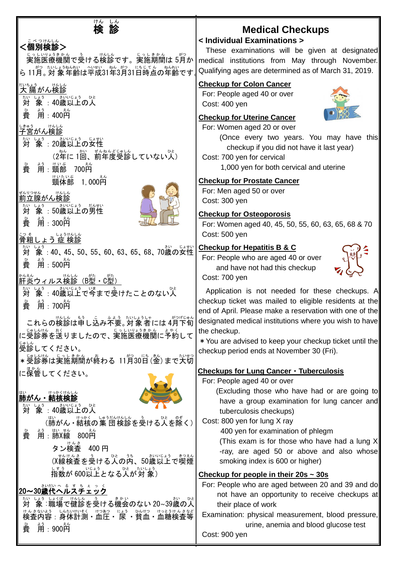| けん しん<br>検 診<br>べ つけんしん<br><個別検診><br><sub>じっしいしょうまゕん</sub><br>実施医療機関で受ける検診です。実施期間は 5月か<br>ら 11月。対 象年齢は平成31年3月31日時点の年齢です。                                                                                           | <b>Medical Checkups</b><br>< Individual Examinations ><br>These examinations will be given at designated<br>medical institutions from May through November.<br>Qualifying ages are determined as of March 31, 2019.                                                                                                                                                                                      |
|--------------------------------------------------------------------------------------------------------------------------------------------------------------------------------------------------------------------|----------------------------------------------------------------------------------------------------------------------------------------------------------------------------------------------------------------------------------------------------------------------------------------------------------------------------------------------------------------------------------------------------------|
| <sub>だいちょう</sub><br>大 腸 がん検診<br>たい<br><b>対</b><br>ょぅ<br>用:400円<br>費<br>しきゅう<br>けんしん<br>子宮がん検診<br>ないしょう さいじょう じょせい<br>(2年に1回、前年度受診していない人)                                                                           | <b>Checkup for Colon Cancer</b><br>For: People aged 40 or over<br>Cost: 400 yen<br><b>Checkup for Uterine Cancer</b><br>For: Women aged 20 or over<br>(Once every two years. You may have this<br>checkup if you did not have it last year)<br>Cost: 700 yen for cervical                                                                                                                                |
| $\hat{H}$ :頸部<br>700码<br>費<br><sub>けいたいぶ</sub><br>頸体部<br>1,000 $\tilde{\vec{H}}$<br>ぜんりつせん<br>前立腺がん検診<br>たい しょう<br>しょう さいじょう だんせい<br>対<br>角:3000円<br>費<br><u>;っぇ</u> ↓ょぅゖんしん<br><u>骨粗しょう 症 検診</u>                  | 1,000 yen for both cervical and uterine<br><b>Checkup for Prostate Cancer</b><br>For: Men aged 50 or over<br>Cost: 300 yen<br><b>Checkup for Osteoporosis</b><br>For: Women aged 40, 45, 50, 55, 60, 63, 65, 68 & 70<br>Cost: 500 yen                                                                                                                                                                    |
| 象:40、45、50、55、60、63、65、68、70歳の女性<br>対<br>黄<br>ょぅ<br>用:500円<br><u> <br/> 肝炎ウィルス</u> 検診<br>(B型・C型)                                                                                                                   | <b>Checkup for Hepatitis B &amp; C</b><br>For: People who are aged 40 or over<br>and have not had this checkup<br>Cost: 700 yen                                                                                                                                                                                                                                                                          |
| しょう<br>「象 : 40歳以上で今まで受けたことのない人<br>対<br>昔<br>,<br>用:700善<br>これらの検診は申し込み不要。対象者には4月下旬<br>に受診券を送りましたので、実施医療機関に予約して<br>。。。。<br>受診してください。<br>*受診券は実施期間が終わる 11月30日(金)まで大切                                                 | Application is not needed for these checkups. A<br>checkup ticket was mailed to eligible residents at the<br>end of April. Please make a reservation with one of the<br>designated medical institutions where you wish to have<br>the checkup.<br>* You are advised to keep your checkup ticket until the<br>checkup period ends at November 30 (Fri).                                                   |
| に<br><br>に保管してください。<br>けっかくけんしん<br>肺がん・結核検診<br>しょう<br>さいいじょう ひと<br>象:40歳以上の人<br>対<br>「ホぃ<br>(肺がん • 結核の集 団検診を受ける人を除く)<br>ま。<br>用:肺X線 800円<br>費<br>タン検査 400 円<br>(X線検査を受ける3.0内、50歳以上で喫煙                              | Checkups for Lung Cancer · Tuberculosis<br>For: People aged 40 or over<br>(Excluding those who have had or are going to<br>have a group examination for lung cancer and<br>tuberculosis checkups)<br>Cost: 800 yen for lung X ray<br>400 yen for examination of phlegm<br>(This exam is for those who have had a lung X)<br>-ray, are aged 50 or above and also whose<br>smoking index is 600 or higher) |
| しまう いじょう<br>指数が 600以上となる人が対象)<br>さいだいへ る す ち ぇ っ く<br>20~30歳代ヘルスチェック<br>たい しょう しょくば<br>けんしん<br>対<br>はんきないよう、しんたいけいそく、けつあつ、「ょょう、ひんけつ、けっとうけんきなど<br><b>検査内容:身体計測・血圧・尿 ・貧血・血糖検査等</b><br>,<br>用:900 <mark>门</mark><br>費 | Checkup for people in their $20s \sim 30s$<br>For: People who are aged between 20 and 39 and do<br>not have an opportunity to receive checkups at<br>their place of work<br>Examination: physical measurement, blood pressure,<br>urine, anemia and blood glucose test<br>Cost: 900 yen                                                                                                                  |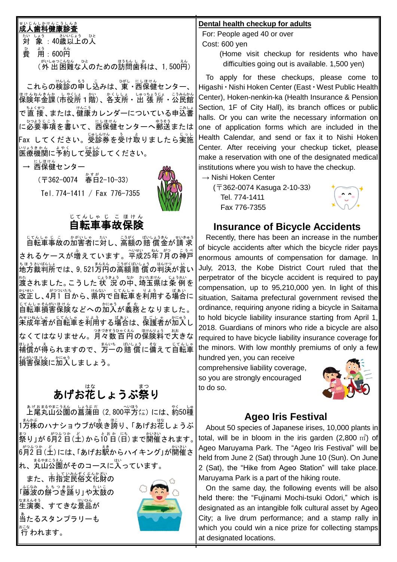#### 成人歯科健康診査 せ い じ ん し か け ん こ う し ん さ

Ξ

対 たい 象 しょう :40歳 さい 以上 いじょう の人 ひと 。<br>費 用:600円 (外 出 がいしゅつ 困難 こんなん な人 ひと のための訪問 ほうもん 歯科 し か は、1,500円 えん )

これらの検診の申し込みは、東・西保健センター、 ほけんねんきんか、しゃくしょ。しゅっちょうじょ こうみんかん<br>保険年金課(市役所1階)、各支所・出 張 所・公民館 で直 接、または、健康カレンダーについている申込書 しひおじこう。 ゕ<br>に必要事項を書いて、西保健センターへ郵送または -<br>Fax してください。受診券を受け取りましたら実施 医療 いりょう 機関 きかん に予約 よやく して受診 じゅしん してください。

→ 远保健センター

(〒362-0074 春日 かすが 2-10-33) Tel.774-1411 / Fax 776-7355



#### 自転車 事故 保険 じてんしゃ じ こ ほけん

じてんしゃ じょうがく ばいしょうきん ざいきゅう<br>自転車事故の加害者に対し、高額の賠 償金が請 求 されるケースが増えています。半成25年7月の神戸 ちほうさいばんしょ<br>地方裁判所では、9,521万円の高額賠 償の判決が言い \*\*\*<br>渡されました。こうした 状 況 の中、埼玉県は条 例を 改正 かいせい し、4月 がつ 1 日 ついたち から、県内 けんない で自転車 じてんしゃ を利用 りよう する場合 ばあい に <u>じてんしゃそんがほけん</u><br>自転車損害保険などへの加入が義務となりました。 <u>なもいねんしゃ。じてんし</u>革を利用する場合は、保護者が加入し なくてはなりません。フォャッコシャンミネム、の関約チョ? c:ポ<br>なくてはなりません。月々数百円の保険料で大きな まょう。 ぇ<br>補償が得られますので、万一の賠 償に備えて自転車 <sub>そんがいほけん</sub><br>損害保険に加入しましょう。

# あげお花しょうぶ祭り

ぁゖぉぉゃま<u>ぅぇ</u><br>上尾丸山公園の菖蒲田 (2,800平方㍍) には、約50種 - <u>まん。</u><br>1万株のハナショウブが咲き誇り、「あげお花しょうぶ <u>た。</u><br>祭り」が 6月2 目(土)から「0゚白(目)まで開催されます。| 。。。。。。。<br>6月2 日 (土)には、「あげお駅からハイキング」が開催さ れ、丸山公園がそのコースに入っています。<br>れ、丸山公園がそのコースに入っています。

また、市指定民俗文化財の 「藤波 ふじなみ の餅つき もちつき 踊 おど り」や太鼓 たいこ の 。<br>生演奏、すてきな景品が 。<br>当たるスタンプラリーも  $\stackrel{\scriptscriptstyle\rm scat}{\scriptscriptstyle\rm f}}$ 行 われます。



#### **Dental health checkup for adults**

For: People aged 40 or over Cost: 600 yen

(Home visit checkup for residents who have difficulties going out is available. 1,500 yen)

To apply for these checkups, please come to Higashi・Nishi Hoken Center (East・West Public Health Center), Hoken-nenkin-ka (Health Insurance & Pension Section, 1F of City Hall), its branch offices or public halls. Or you can write the necessary information on one of application forms which are included in the Health Calendar, and send or fax it to Nishi Hoken Center. After receiving your checkup ticket, please make a reservation with one of the designated medical institutions where you wish to have the checkup.

 $\rightarrow$  Nishi Hoken Center

(〒362-0074 Kasuga 2-10-33) Tel. 774-1411 Fax 776-7355



### **Insurance of Bicycle Accidents**

Recently, there has been an increase in the number of bicycle accidents after which the bicycle rider pays enormous amounts of compensation for damage. In July, 2013, the Kobe District Court ruled that the perpetrator of the bicycle accident is required to pay compensation, up to 95,210,000 yen. In light of this situation, Saitama prefectural government revised the ordinance, requiring anyone riding a bicycle in Saitama to hold bicycle liability insurance starting from April 1, 2018. Guardians of minors who ride a bicycle are also required to have bicycle liability insurance coverage for the minors. With low monthly premiums of only a few

hundred yen, you can receive comprehensive liability coverage, so you are strongly encouraged to do so.



### **Ageo Iris Festival**

About 50 species of Japanese irises, 10,000 plants in total, will be in bloom in the iris garden (2,800  $m<sup>2</sup>$ ) of Ageo Maruyama Park. The "Ageo Iris Festival" will be held from June 2 (Sat) through June 10 (Sun). On June 2 (Sat), the "Hike from Ageo Station" will take place. Maruyama Park is a part of the hiking route.

On the same day, the following events will be also held there: the "Fujinami Mochi-tsuki Odori," which is designated as an intangible folk cultural asset by Ageo City; a live drum performance; and a stamp rally in which you could win a nice prize for collecting stamps at designated locations.